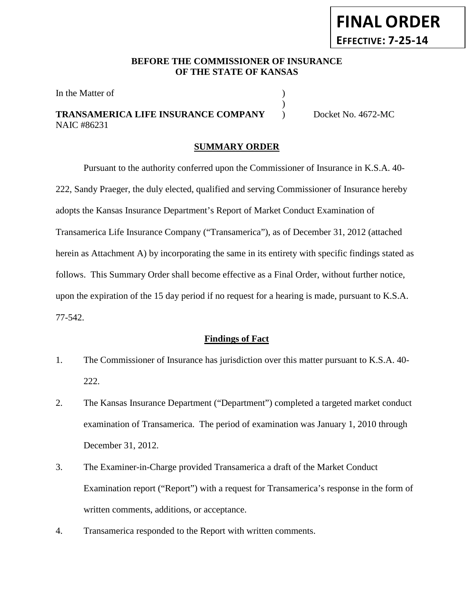## **BEFORE THE COMMISSIONER OF INSURANCE OF THE STATE OF KANSAS**

)

In the Matter of  $\hspace{1.5cm}$  )

## **TRANSAMERICA LIFE INSURANCE COMPANY** ) Docket No. 4672-MC NAIC #86231

**FINAL ORDER**

**EFFECTIVE: 7-25-14**

## **SUMMARY ORDER**

Pursuant to the authority conferred upon the Commissioner of Insurance in K.S.A. 40- 222, Sandy Praeger, the duly elected, qualified and serving Commissioner of Insurance hereby adopts the Kansas Insurance Department's Report of Market Conduct Examination of Transamerica Life Insurance Company ("Transamerica"), as of December 31, 2012 (attached herein as Attachment A) by incorporating the same in its entirety with specific findings stated as follows. This Summary Order shall become effective as a Final Order, without further notice, upon the expiration of the 15 day period if no request for a hearing is made, pursuant to K.S.A. 77-542.

### **Findings of Fact**

- 1. The Commissioner of Insurance has jurisdiction over this matter pursuant to K.S.A. 40- 222.
- 2. The Kansas Insurance Department ("Department") completed a targeted market conduct examination of Transamerica. The period of examination was January 1, 2010 through December 31, 2012.
- 3. The Examiner-in-Charge provided Transamerica a draft of the Market Conduct Examination report ("Report") with a request for Transamerica's response in the form of written comments, additions, or acceptance.
- 4. Transamerica responded to the Report with written comments.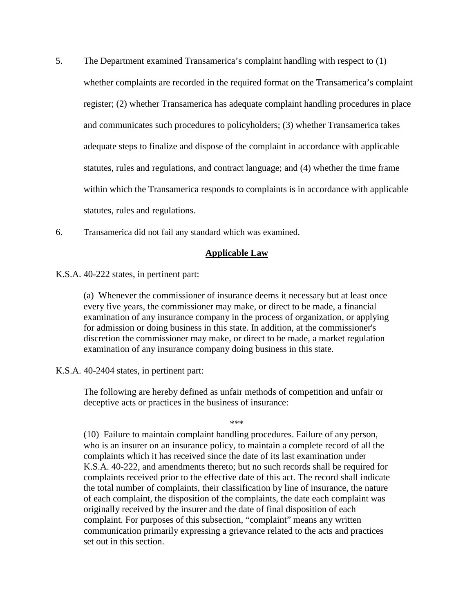- 5. The Department examined Transamerica's complaint handling with respect to (1) whether complaints are recorded in the required format on the Transamerica's complaint register; (2) whether Transamerica has adequate complaint handling procedures in place and communicates such procedures to policyholders; (3) whether Transamerica takes adequate steps to finalize and dispose of the complaint in accordance with applicable statutes, rules and regulations, and contract language; and (4) whether the time frame within which the Transamerica responds to complaints is in accordance with applicable statutes, rules and regulations.
- 6. Transamerica did not fail any standard which was examined.

### **Applicable Law**

K.S.A. 40-222 states, in pertinent part:

(a) Whenever the commissioner of insurance deems it necessary but at least once every five years, the commissioner may make, or direct to be made, a financial examination of any insurance company in the process of organization, or applying for admission or doing business in this state. In addition, at the commissioner's discretion the commissioner may make, or direct to be made, a market regulation examination of any insurance company doing business in this state.

#### K.S.A. 40-2404 states, in pertinent part:

The following are hereby defined as unfair methods of competition and unfair or deceptive acts or practices in the business of insurance:

\*\*\*

(10) Failure to maintain complaint handling procedures. Failure of any person, who is an insurer on an insurance policy, to maintain a complete record of all the complaints which it has received since the date of its last examination under K.S.A. 40-222, and amendments thereto; but no such records shall be required for complaints received prior to the effective date of this act. The record shall indicate the total number of complaints, their classification by line of insurance, the nature of each complaint, the disposition of the complaints, the date each complaint was originally received by the insurer and the date of final disposition of each complaint. For purposes of this subsection, "complaint" means any written communication primarily expressing a grievance related to the acts and practices set out in this section.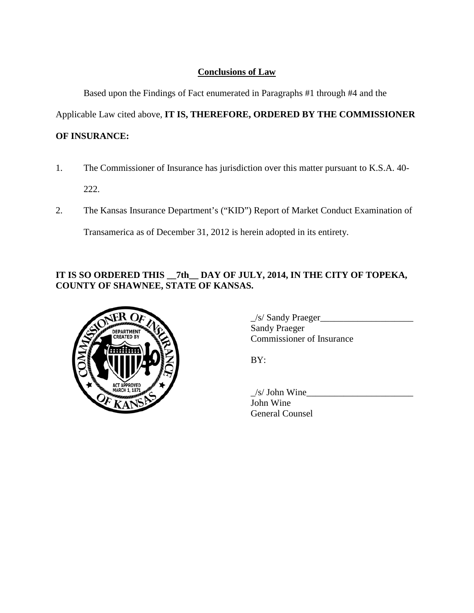# **Conclusions of Law**

Based upon the Findings of Fact enumerated in Paragraphs #1 through #4 and the

Applicable Law cited above, **IT IS, THEREFORE, ORDERED BY THE COMMISSIONER** 

# **OF INSURANCE:**

- 1. The Commissioner of Insurance has jurisdiction over this matter pursuant to K.S.A. 40- 222.
- 2. The Kansas Insurance Department's ("KID") Report of Market Conduct Examination of

Transamerica as of December 31, 2012 is herein adopted in its entirety.

# **IT IS SO ORDERED THIS \_\_7th\_\_ DAY OF JULY, 2014, IN THE CITY OF TOPEKA, COUNTY OF SHAWNEE, STATE OF KANSAS.**



 $\angle$ s/ Sandy Praeger $\angle$ Sandy Praeger Commissioner of Insurance

BY:

 $/s/$  John Wine John Wine General Counsel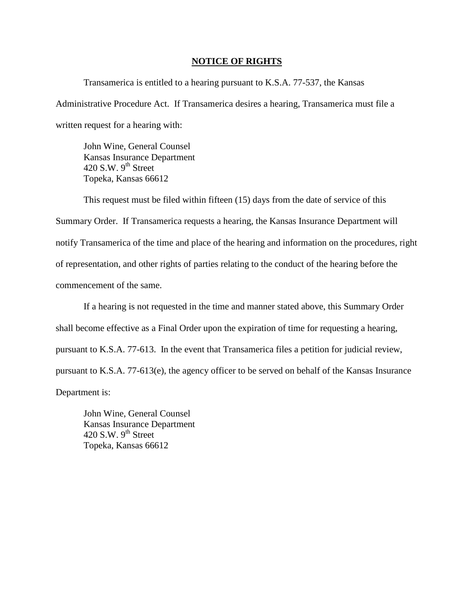#### **NOTICE OF RIGHTS**

Transamerica is entitled to a hearing pursuant to K.S.A. 77-537, the Kansas Administrative Procedure Act. If Transamerica desires a hearing, Transamerica must file a written request for a hearing with:

John Wine, General Counsel Kansas Insurance Department 420 S.W.  $9^{th}$  Street Topeka, Kansas 66612

This request must be filed within fifteen (15) days from the date of service of this Summary Order. If Transamerica requests a hearing, the Kansas Insurance Department will notify Transamerica of the time and place of the hearing and information on the procedures, right of representation, and other rights of parties relating to the conduct of the hearing before the commencement of the same.

If a hearing is not requested in the time and manner stated above, this Summary Order shall become effective as a Final Order upon the expiration of time for requesting a hearing, pursuant to K.S.A. 77-613. In the event that Transamerica files a petition for judicial review, pursuant to K.S.A. 77-613(e), the agency officer to be served on behalf of the Kansas Insurance Department is:

John Wine, General Counsel Kansas Insurance Department 420 S.W.  $9<sup>th</sup>$  Street Topeka, Kansas 66612